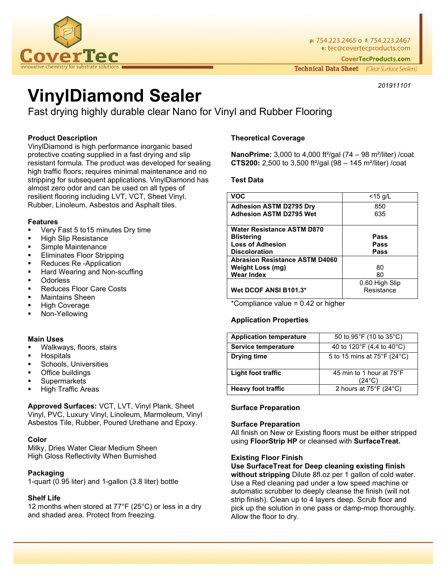

**p:** 754.223.2465 o **f:** 754.223.2467 **e:** tec@covertecproducts.com **CoverTecProducts.com** 

Technical Data Sheet (Clear Surface Sealers)

*201911101*

# **VinylDiamond Sealer**

Fast drying highly durable clear Nano for Vinyl and Rubber Flooring

# **Product Description**

VinylDiamond is high performance inorganic based protective coating supplied in a fast drying and slip resistant formula. The product was developed for sealing high traffic floors; requires minimal maintenance and no stripping for subsequent applications. VinylDiamond has almost zero odor and can be used on all types of resilient flooring including LVT, VCT, Sheet Vinyl. Rubber, Linoleum, Asbestos and Asphalt tiles.

## **Features**

- Very Fast 5 to15 minutes Dry time
- High Slip Resistance
- Simple Maintenance
- Eliminates Floor Stripping
- Reduces Re -Application
- Hard Wearing and Non-scuffing
- **Odorless**
- Reduces Floor Care Costs
- Maintains Sheen
- High Coverage
- Non-Yellowing

## **Main Uses**

- Walkways, floors, stairs
- **Hospitals**
- Schools, Universities
- Office buildings
- **Supermarkets**
- High Traffic Areas

**Approved Surfaces:** VCT, LVT, Vinyl Plank, Sheet Vinyl, PVC, Luxury Vinyl, Linoleum, Marmoleum, Vinyl Asbestos Tile, Rubber, Poured Urethane and Epoxy.

## **Color**

Milky, Dries Water Clear Medium Sheen High Gloss Reflectivity When Burnished

# **Packaging**

1-quart (0.95 liter) and 1-gallon (3.8 liter) bottle

# **Shelf Life**

12 months when stored at 77°F (25°C) or less in a dry and shaded area. Protect from freezing.

## **Theoretical Coverage**

**NanoPrime:** 3,000 to 4,000 ft²/gal (74 – 98 m²/liter) /coat **CTS200:** 2,500 to 3,500 ft²/gal (98 – 145 m²/liter) /coat

## **Test Data**

| <b>VOC</b>                            | $<$ 15 g/L     |
|---------------------------------------|----------------|
| <b>Adhesion ASTM D2795 Dry</b>        | 850            |
| <b>Adhesion ASTM D2795 Wet</b>        | 635            |
| <b>Water Resistance ASTM D870</b>     |                |
| <b>Blistering</b>                     | Pass           |
| <b>Loss of Adhesion</b>               | Pass           |
| <b>Discoloration</b>                  | Pass           |
| <b>Abrasion Resistance ASTM D4060</b> |                |
| <b>Weight Loss (mg)</b>               | 80             |
| <b>Wear Index</b>                     | 80             |
|                                       | 0.60 High Slip |
| Wet DCOF ANSI B101.3*                 | Resistance     |

\*Compliance value = 0.42 or higher

## **Application Properties**

| <b>Application temperature</b> | 50 to 95°F (10 to 35°C)                       |
|--------------------------------|-----------------------------------------------|
| Service temperature            | 40 to 120 $\degree$ F (4.4 to 40 $\degree$ C) |
| <b>Drying time</b>             | 5 to 15 mins at 75°F (24°C)                   |
| Light foot traffic             | 45 min to 1 hour at 75°F<br>(24°C)            |
| <b>Heavy foot traffic</b>      | 2 hours at $75^{\circ}F(24^{\circ}C)$         |

# **Surface Preparation**

## **Surface Preparation**

All finish on New or Existing floors must be either stripped using **FloorStrip HP** or cleansed with **SurfaceTreat.**

## **Existing Floor Finish**

**Use SurfaceTreat for Deep cleaning existing finish without stripping** Dilute 8fl.oz per 1 gallon of cold water. Use a Red cleaning pad under a low speed machine or automatic scrubber to deeply cleanse the finish (will not strip finish). Clean up to 4 layers deep. Scrub floor and pick up the solution in one pass or damp-mop thoroughly. Allow the floor to dry.